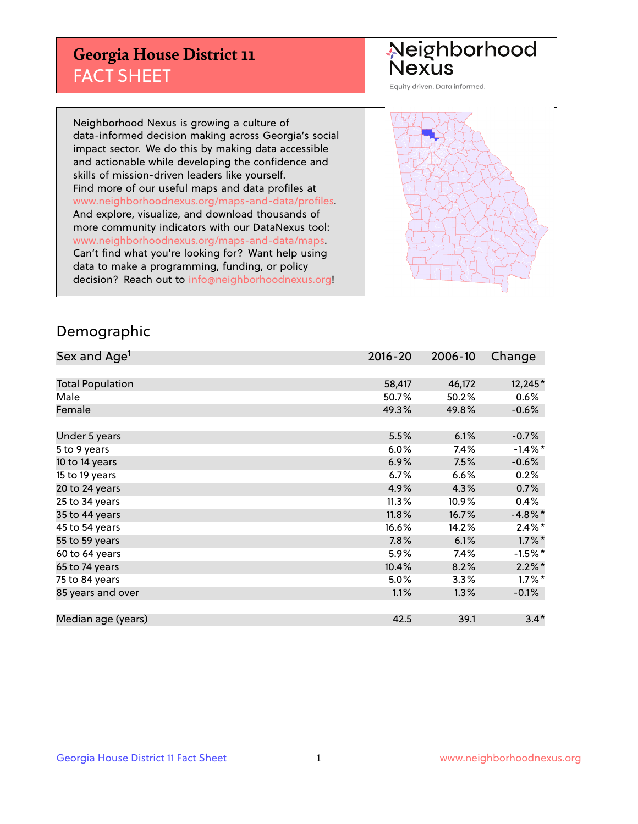## **Georgia House District 11** FACT SHEET

# Neighborhood<br>Nexus

Equity driven. Data informed.

Neighborhood Nexus is growing a culture of data-informed decision making across Georgia's social impact sector. We do this by making data accessible and actionable while developing the confidence and skills of mission-driven leaders like yourself. Find more of our useful maps and data profiles at www.neighborhoodnexus.org/maps-and-data/profiles. And explore, visualize, and download thousands of more community indicators with our DataNexus tool: www.neighborhoodnexus.org/maps-and-data/maps. Can't find what you're looking for? Want help using data to make a programming, funding, or policy decision? Reach out to [info@neighborhoodnexus.org!](mailto:info@neighborhoodnexus.org)



### Demographic

| Sex and Age <sup>1</sup> | $2016 - 20$ | 2006-10 | Change     |
|--------------------------|-------------|---------|------------|
|                          |             |         |            |
| <b>Total Population</b>  | 58,417      | 46,172  | 12,245*    |
| Male                     | 50.7%       | 50.2%   | 0.6%       |
| Female                   | 49.3%       | 49.8%   | $-0.6%$    |
|                          |             |         |            |
| Under 5 years            | 5.5%        | 6.1%    | $-0.7%$    |
| 5 to 9 years             | 6.0%        | 7.4%    | $-1.4\%$ * |
| 10 to 14 years           | 6.9%        | 7.5%    | $-0.6%$    |
| 15 to 19 years           | 6.7%        | 6.6%    | 0.2%       |
| 20 to 24 years           | 4.9%        | 4.3%    | 0.7%       |
| 25 to 34 years           | 11.3%       | 10.9%   | 0.4%       |
| 35 to 44 years           | 11.8%       | 16.7%   | $-4.8\%$ * |
| 45 to 54 years           | 16.6%       | 14.2%   | $2.4\%$ *  |
| 55 to 59 years           | 7.8%        | 6.1%    | $1.7\%$ *  |
| 60 to 64 years           | 5.9%        | 7.4%    | $-1.5\%$ * |
| 65 to 74 years           | 10.4%       | 8.2%    | $2.2\%$ *  |
| 75 to 84 years           | 5.0%        | 3.3%    | $1.7\%$ *  |
| 85 years and over        | 1.1%        | 1.3%    | $-0.1%$    |
|                          |             |         |            |
| Median age (years)       | 42.5        | 39.1    | $3.4*$     |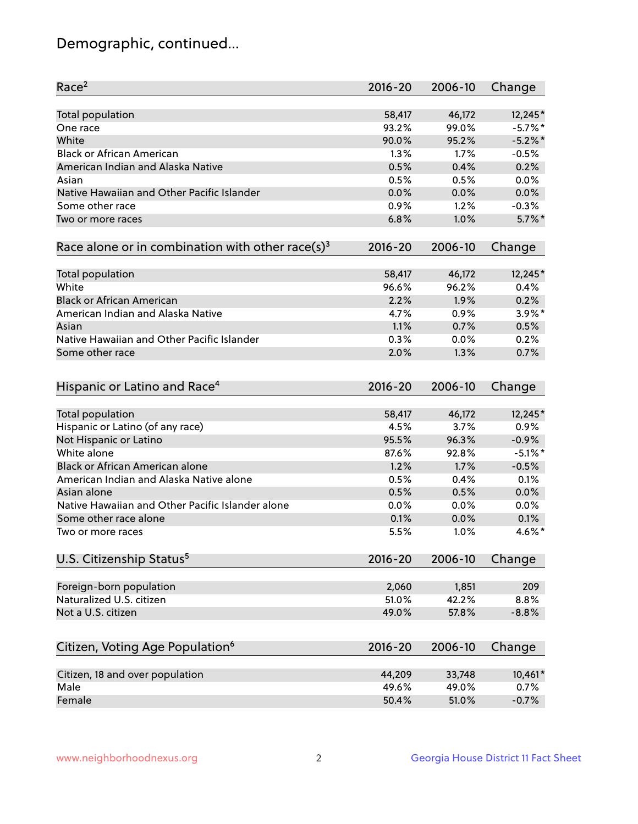## Demographic, continued...

| Race <sup>2</sup>                                            | $2016 - 20$ | 2006-10 | Change     |
|--------------------------------------------------------------|-------------|---------|------------|
| Total population                                             | 58,417      | 46,172  | 12,245*    |
| One race                                                     | 93.2%       | 99.0%   | $-5.7%$ *  |
| White                                                        | 90.0%       | 95.2%   | $-5.2\%$ * |
| <b>Black or African American</b>                             | 1.3%        | 1.7%    | $-0.5%$    |
| American Indian and Alaska Native                            | 0.5%        | 0.4%    | 0.2%       |
| Asian                                                        | 0.5%        | 0.5%    | 0.0%       |
| Native Hawaiian and Other Pacific Islander                   | 0.0%        | 0.0%    | 0.0%       |
| Some other race                                              | 0.9%        | 1.2%    | $-0.3%$    |
| Two or more races                                            | 6.8%        | 1.0%    | $5.7\%$ *  |
| Race alone or in combination with other race(s) <sup>3</sup> | $2016 - 20$ | 2006-10 | Change     |
| Total population                                             | 58,417      | 46,172  | 12,245*    |
| White                                                        | 96.6%       | 96.2%   | 0.4%       |
| <b>Black or African American</b>                             | 2.2%        | 1.9%    | 0.2%       |
| American Indian and Alaska Native                            | 4.7%        | 0.9%    | $3.9\%$ *  |
| Asian                                                        | 1.1%        | 0.7%    | 0.5%       |
| Native Hawaiian and Other Pacific Islander                   | 0.3%        | 0.0%    | 0.2%       |
| Some other race                                              | 2.0%        | 1.3%    | 0.7%       |
| Hispanic or Latino and Race <sup>4</sup>                     | $2016 - 20$ | 2006-10 | Change     |
| <b>Total population</b>                                      | 58,417      | 46,172  | 12,245*    |
| Hispanic or Latino (of any race)                             | 4.5%        | 3.7%    | 0.9%       |
| Not Hispanic or Latino                                       | 95.5%       | 96.3%   | $-0.9%$    |
| White alone                                                  | 87.6%       | 92.8%   | $-5.1\%$ * |
| <b>Black or African American alone</b>                       | 1.2%        | 1.7%    | $-0.5%$    |
| American Indian and Alaska Native alone                      | 0.5%        | 0.4%    | 0.1%       |
| Asian alone                                                  | 0.5%        | 0.5%    | 0.0%       |
| Native Hawaiian and Other Pacific Islander alone             | 0.0%        | 0.0%    | 0.0%       |
| Some other race alone                                        | 0.1%        | 0.0%    | 0.1%       |
| Two or more races                                            | 5.5%        | 1.0%    | $4.6\%$ *  |
| U.S. Citizenship Status <sup>5</sup>                         | $2016 - 20$ | 2006-10 | Change     |
| Foreign-born population                                      | 2,060       | 1,851   | 209        |
| Naturalized U.S. citizen                                     | 51.0%       | 42.2%   | 8.8%       |
| Not a U.S. citizen                                           | 49.0%       | 57.8%   | $-8.8%$    |
|                                                              |             |         |            |
| Citizen, Voting Age Population <sup>6</sup>                  | $2016 - 20$ | 2006-10 | Change     |
| Citizen, 18 and over population                              | 44,209      | 33,748  | 10,461*    |
| Male                                                         | 49.6%       | 49.0%   | 0.7%       |
| Female                                                       | 50.4%       | 51.0%   | $-0.7%$    |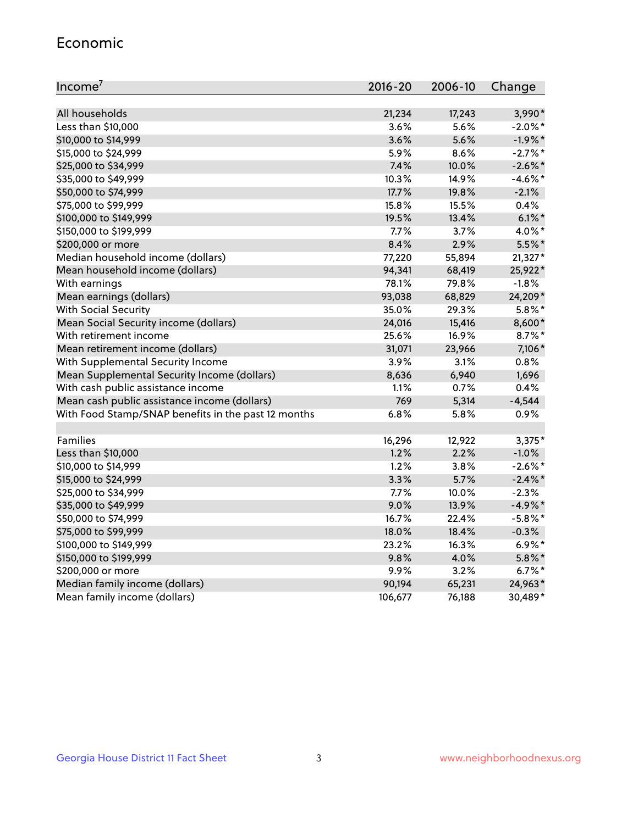#### Economic

| Income <sup>7</sup>                                 | 2016-20 | 2006-10 | Change     |
|-----------------------------------------------------|---------|---------|------------|
|                                                     |         |         |            |
| All households                                      | 21,234  | 17,243  | 3,990*     |
| Less than \$10,000                                  | 3.6%    | 5.6%    | $-2.0\%$ * |
| \$10,000 to \$14,999                                | 3.6%    | 5.6%    | $-1.9%$ *  |
| \$15,000 to \$24,999                                | 5.9%    | 8.6%    | $-2.7%$ *  |
| \$25,000 to \$34,999                                | 7.4%    | 10.0%   | $-2.6\%$ * |
| \$35,000 to \$49,999                                | 10.3%   | 14.9%   | $-4.6%$ *  |
| \$50,000 to \$74,999                                | 17.7%   | 19.8%   | $-2.1%$    |
| \$75,000 to \$99,999                                | 15.8%   | 15.5%   | 0.4%       |
| \$100,000 to \$149,999                              | 19.5%   | 13.4%   | $6.1\%$ *  |
| \$150,000 to \$199,999                              | 7.7%    | 3.7%    | 4.0%*      |
| \$200,000 or more                                   | 8.4%    | 2.9%    | $5.5%$ *   |
| Median household income (dollars)                   | 77,220  | 55,894  | $21,327*$  |
| Mean household income (dollars)                     | 94,341  | 68,419  | 25,922*    |
| With earnings                                       | 78.1%   | 79.8%   | $-1.8%$    |
| Mean earnings (dollars)                             | 93,038  | 68,829  | 24,209*    |
| <b>With Social Security</b>                         | 35.0%   | 29.3%   | $5.8\%$ *  |
| Mean Social Security income (dollars)               | 24,016  | 15,416  | 8,600*     |
| With retirement income                              | 25.6%   | 16.9%   | $8.7\%$ *  |
| Mean retirement income (dollars)                    | 31,071  | 23,966  | 7,106*     |
| With Supplemental Security Income                   | 3.9%    | $3.1\%$ | 0.8%       |
| Mean Supplemental Security Income (dollars)         | 8,636   | 6,940   | 1,696      |
| With cash public assistance income                  | 1.1%    | 0.7%    | 0.4%       |
| Mean cash public assistance income (dollars)        | 769     | 5,314   | $-4,544$   |
| With Food Stamp/SNAP benefits in the past 12 months | 6.8%    | 5.8%    | 0.9%       |
|                                                     |         |         |            |
| Families                                            | 16,296  | 12,922  | 3,375*     |
| Less than \$10,000                                  | 1.2%    | 2.2%    | $-1.0%$    |
| \$10,000 to \$14,999                                | 1.2%    | 3.8%    | $-2.6\%$ * |
| \$15,000 to \$24,999                                | 3.3%    | 5.7%    | $-2.4\%$ * |
| \$25,000 to \$34,999                                | 7.7%    | 10.0%   | $-2.3%$    |
| \$35,000 to \$49,999                                | 9.0%    | 13.9%   | $-4.9%$ *  |
| \$50,000 to \$74,999                                | 16.7%   | 22.4%   | $-5.8\%$ * |
| \$75,000 to \$99,999                                | 18.0%   | 18.4%   | $-0.3%$    |
| \$100,000 to \$149,999                              | 23.2%   | 16.3%   | $6.9\%$ *  |
| \$150,000 to \$199,999                              | 9.8%    | 4.0%    | $5.8\%$ *  |
| \$200,000 or more                                   | 9.9%    | 3.2%    | $6.7\%$ *  |
| Median family income (dollars)                      | 90,194  | 65,231  | 24,963*    |
| Mean family income (dollars)                        | 106,677 | 76,188  | 30,489*    |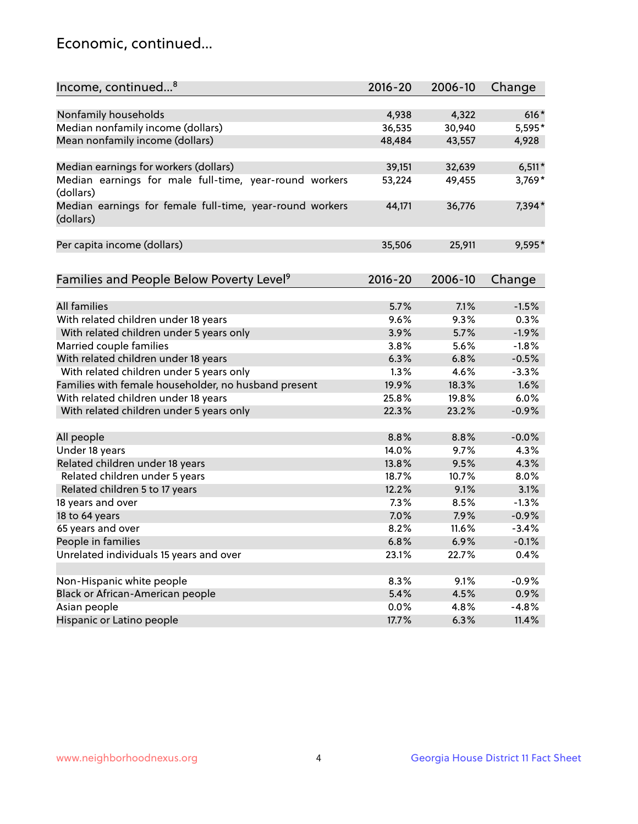## Economic, continued...

| Income, continued <sup>8</sup>                           | 2016-20 | 2006-10 | Change   |
|----------------------------------------------------------|---------|---------|----------|
|                                                          |         |         |          |
| Nonfamily households                                     | 4,938   | 4,322   | $616*$   |
| Median nonfamily income (dollars)                        | 36,535  | 30,940  | 5,595*   |
| Mean nonfamily income (dollars)                          | 48,484  | 43,557  | 4,928    |
|                                                          |         |         |          |
| Median earnings for workers (dollars)                    | 39,151  | 32,639  | $6,511*$ |
| Median earnings for male full-time, year-round workers   | 53,224  | 49,455  | 3,769*   |
| (dollars)                                                |         |         |          |
| Median earnings for female full-time, year-round workers | 44,171  | 36,776  | 7,394*   |
| (dollars)                                                |         |         |          |
|                                                          |         |         |          |
| Per capita income (dollars)                              | 35,506  | 25,911  | 9,595*   |
|                                                          |         |         |          |
|                                                          | 2016-20 | 2006-10 |          |
| Families and People Below Poverty Level <sup>9</sup>     |         |         | Change   |
| <b>All families</b>                                      | 5.7%    | 7.1%    | $-1.5%$  |
| With related children under 18 years                     | 9.6%    | 9.3%    | 0.3%     |
| With related children under 5 years only                 | 3.9%    | 5.7%    | $-1.9%$  |
| Married couple families                                  | 3.8%    | 5.6%    | $-1.8%$  |
| With related children under 18 years                     | 6.3%    | 6.8%    | $-0.5%$  |
| With related children under 5 years only                 | 1.3%    | 4.6%    | $-3.3%$  |
| Families with female householder, no husband present     | 19.9%   | 18.3%   | 1.6%     |
| With related children under 18 years                     | 25.8%   | 19.8%   | 6.0%     |
|                                                          | 22.3%   | 23.2%   |          |
| With related children under 5 years only                 |         |         | $-0.9%$  |
| All people                                               | 8.8%    | 8.8%    | $-0.0%$  |
| Under 18 years                                           | 14.0%   | 9.7%    | 4.3%     |
| Related children under 18 years                          | 13.8%   | 9.5%    | 4.3%     |
| Related children under 5 years                           | 18.7%   | 10.7%   | 8.0%     |
| Related children 5 to 17 years                           | 12.2%   | 9.1%    | 3.1%     |
| 18 years and over                                        | 7.3%    | 8.5%    | $-1.3%$  |
| 18 to 64 years                                           | 7.0%    | 7.9%    | $-0.9%$  |
| 65 years and over                                        | 8.2%    | 11.6%   | $-3.4%$  |
| People in families                                       | 6.8%    | 6.9%    | $-0.1%$  |
| Unrelated individuals 15 years and over                  | 23.1%   | 22.7%   | 0.4%     |
|                                                          |         |         |          |
| Non-Hispanic white people                                | 8.3%    | 9.1%    | $-0.9%$  |
| Black or African-American people                         | 5.4%    | 4.5%    | 0.9%     |
| Asian people                                             | $0.0\%$ | 4.8%    | $-4.8%$  |
| Hispanic or Latino people                                | 17.7%   | 6.3%    | 11.4%    |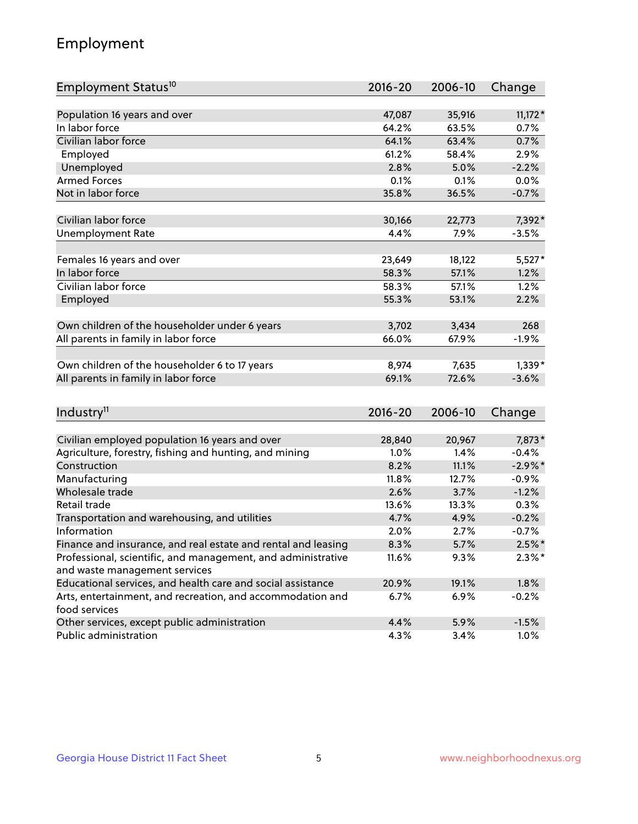## Employment

| Employment Status <sup>10</sup>                                             | $2016 - 20$    | 2006-10 | Change     |
|-----------------------------------------------------------------------------|----------------|---------|------------|
|                                                                             |                |         |            |
| Population 16 years and over<br>In labor force                              | 47,087         | 35,916  | $11,172*$  |
| Civilian labor force                                                        | 64.2%<br>64.1% | 63.5%   | 0.7%       |
|                                                                             |                | 63.4%   | 0.7%       |
| Employed                                                                    | 61.2%          | 58.4%   | 2.9%       |
| Unemployed                                                                  | 2.8%           | 5.0%    | $-2.2%$    |
| <b>Armed Forces</b>                                                         | 0.1%           | 0.1%    | 0.0%       |
| Not in labor force                                                          | 35.8%          | 36.5%   | $-0.7%$    |
| Civilian labor force                                                        | 30,166         | 22,773  | 7,392*     |
| <b>Unemployment Rate</b>                                                    | 4.4%           | 7.9%    | $-3.5%$    |
|                                                                             |                |         |            |
| Females 16 years and over                                                   | 23,649         | 18,122  | $5,527*$   |
| In labor force                                                              | 58.3%          | 57.1%   | 1.2%       |
| Civilian labor force                                                        | 58.3%          | 57.1%   | 1.2%       |
| Employed                                                                    | 55.3%          | 53.1%   | 2.2%       |
|                                                                             |                |         |            |
| Own children of the householder under 6 years                               | 3,702          | 3,434   | 268        |
| All parents in family in labor force                                        | 66.0%          | 67.9%   | $-1.9%$    |
|                                                                             |                |         |            |
| Own children of the householder 6 to 17 years                               | 8,974          | 7,635   | $1,339*$   |
| All parents in family in labor force                                        | 69.1%          | 72.6%   | $-3.6%$    |
|                                                                             |                |         |            |
| Industry <sup>11</sup>                                                      | $2016 - 20$    | 2006-10 | Change     |
|                                                                             |                |         |            |
| Civilian employed population 16 years and over                              | 28,840         | 20,967  | 7,873*     |
| Agriculture, forestry, fishing and hunting, and mining                      | 1.0%           | 1.4%    | $-0.4%$    |
| Construction                                                                | 8.2%           | 11.1%   | $-2.9\%$ * |
| Manufacturing                                                               | 11.8%          | 12.7%   | $-0.9%$    |
| Wholesale trade                                                             | 2.6%           | 3.7%    | $-1.2%$    |
| Retail trade                                                                | 13.6%          | 13.3%   | 0.3%       |
| Transportation and warehousing, and utilities                               | 4.7%           | 4.9%    | $-0.2%$    |
| Information                                                                 | 2.0%           | 2.7%    | $-0.7%$    |
| Finance and insurance, and real estate and rental and leasing               | 8.3%           | 5.7%    | $2.5%$ *   |
| Professional, scientific, and management, and administrative                | 11.6%          | 9.3%    | $2.3\%$ *  |
| and waste management services                                               |                |         |            |
| Educational services, and health care and social assistance                 | 20.9%          | 19.1%   | 1.8%       |
| Arts, entertainment, and recreation, and accommodation and<br>food services | 6.7%           | 6.9%    | $-0.2%$    |
| Other services, except public administration                                | 4.4%           | 5.9%    | $-1.5%$    |
| Public administration                                                       | 4.3%           | 3.4%    | 1.0%       |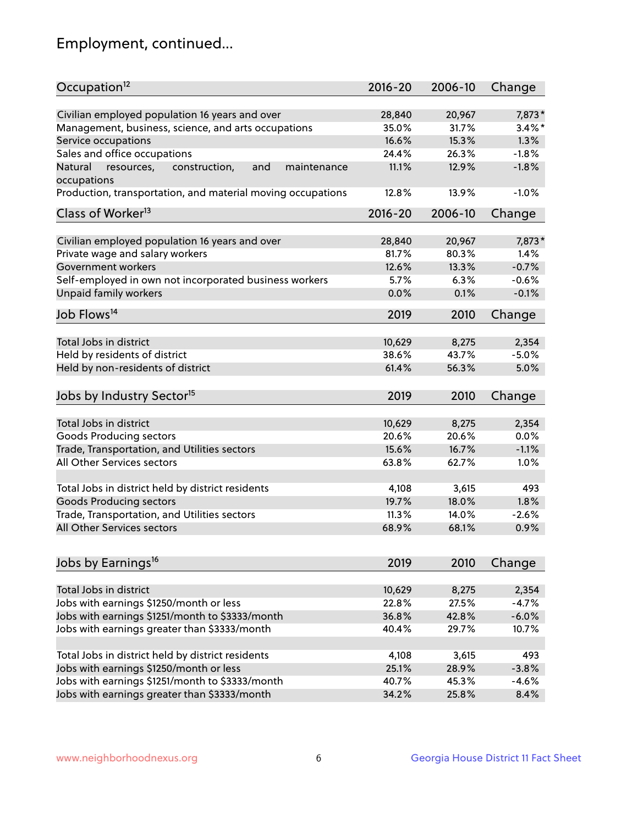## Employment, continued...

| Occupation <sup>12</sup>                                    | $2016 - 20$ | 2006-10 | Change    |
|-------------------------------------------------------------|-------------|---------|-----------|
| Civilian employed population 16 years and over              | 28,840      | 20,967  | 7,873*    |
| Management, business, science, and arts occupations         | 35.0%       | 31.7%   | $3.4\%$ * |
| Service occupations                                         | 16.6%       | 15.3%   | 1.3%      |
| Sales and office occupations                                | 24.4%       | 26.3%   | $-1.8%$   |
| Natural<br>and<br>maintenance                               | 11.1%       | 12.9%   | $-1.8%$   |
| resources,<br>construction,<br>occupations                  |             |         |           |
| Production, transportation, and material moving occupations | 12.8%       | 13.9%   | $-1.0%$   |
| Class of Worker <sup>13</sup>                               | $2016 - 20$ | 2006-10 | Change    |
| Civilian employed population 16 years and over              | 28,840      | 20,967  | 7,873*    |
| Private wage and salary workers                             | 81.7%       | 80.3%   | 1.4%      |
| Government workers                                          | 12.6%       | 13.3%   | $-0.7%$   |
| Self-employed in own not incorporated business workers      | 5.7%        | 6.3%    | $-0.6%$   |
| Unpaid family workers                                       | 0.0%        | 0.1%    | $-0.1%$   |
| Job Flows <sup>14</sup>                                     | 2019        | 2010    | Change    |
|                                                             |             |         |           |
| Total Jobs in district                                      | 10,629      | 8,275   | 2,354     |
| Held by residents of district                               | 38.6%       | 43.7%   | $-5.0%$   |
| Held by non-residents of district                           | 61.4%       | 56.3%   | 5.0%      |
| Jobs by Industry Sector <sup>15</sup>                       | 2019        | 2010    | Change    |
| Total Jobs in district                                      | 10,629      | 8,275   | 2,354     |
| Goods Producing sectors                                     | 20.6%       | 20.6%   | 0.0%      |
| Trade, Transportation, and Utilities sectors                | 15.6%       | 16.7%   | $-1.1%$   |
| All Other Services sectors                                  | 63.8%       | 62.7%   | 1.0%      |
|                                                             |             |         |           |
| Total Jobs in district held by district residents           | 4,108       | 3,615   | 493       |
| <b>Goods Producing sectors</b>                              | 19.7%       | 18.0%   | 1.8%      |
| Trade, Transportation, and Utilities sectors                | 11.3%       | 14.0%   | $-2.6%$   |
| All Other Services sectors                                  | 68.9%       | 68.1%   | 0.9%      |
|                                                             |             |         |           |
| Jobs by Earnings <sup>16</sup>                              | 2019        | 2010    | Change    |
| Total Jobs in district                                      | 10,629      | 8,275   | 2,354     |
| Jobs with earnings \$1250/month or less                     | 22.8%       | 27.5%   | $-4.7%$   |
| Jobs with earnings \$1251/month to \$3333/month             | 36.8%       | 42.8%   | $-6.0%$   |
| Jobs with earnings greater than \$3333/month                | 40.4%       | 29.7%   | 10.7%     |
|                                                             |             |         |           |
| Total Jobs in district held by district residents           | 4,108       | 3,615   | 493       |
| Jobs with earnings \$1250/month or less                     | 25.1%       | 28.9%   | $-3.8%$   |
| Jobs with earnings \$1251/month to \$3333/month             | 40.7%       | 45.3%   | $-4.6%$   |
| Jobs with earnings greater than \$3333/month                | 34.2%       | 25.8%   | 8.4%      |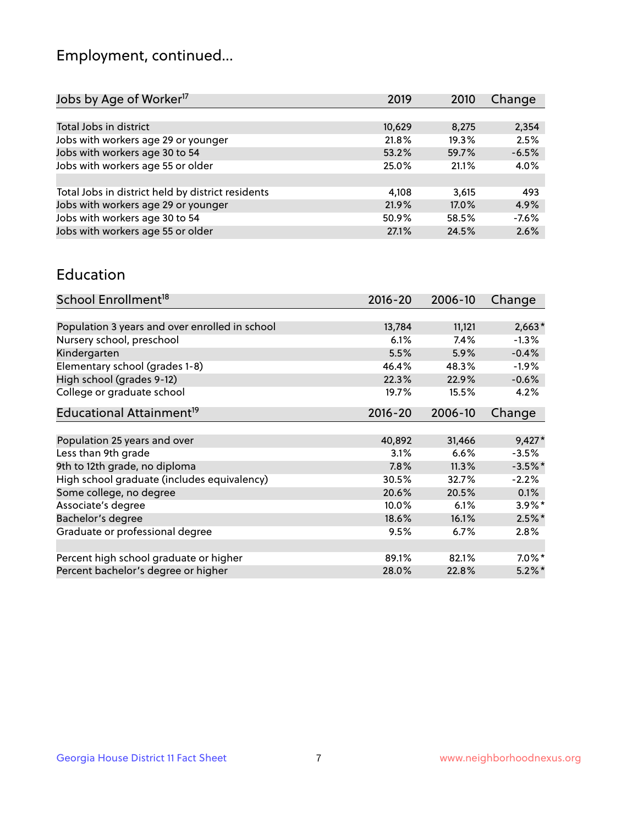## Employment, continued...

| 2019   | 2010  | Change  |
|--------|-------|---------|
|        |       |         |
| 10,629 | 8,275 | 2,354   |
| 21.8%  | 19.3% | 2.5%    |
| 53.2%  | 59.7% | $-6.5%$ |
| 25.0%  | 21.1% | 4.0%    |
|        |       |         |
| 4.108  | 3,615 | 493     |
| 21.9%  | 17.0% | 4.9%    |
| 50.9%  | 58.5% | $-7.6%$ |
| 27.1%  | 24.5% | 2.6%    |
|        |       |         |

#### Education

| School Enrollment <sup>18</sup>                | $2016 - 20$ | 2006-10 | Change    |
|------------------------------------------------|-------------|---------|-----------|
|                                                |             |         |           |
| Population 3 years and over enrolled in school | 13,784      | 11,121  | $2,663*$  |
| Nursery school, preschool                      | 6.1%        | 7.4%    | $-1.3%$   |
| Kindergarten                                   | 5.5%        | 5.9%    | $-0.4%$   |
| Elementary school (grades 1-8)                 | 46.4%       | 48.3%   | $-1.9\%$  |
| High school (grades 9-12)                      | 22.3%       | 22.9%   | $-0.6%$   |
| College or graduate school                     | 19.7%       | 15.5%   | 4.2%      |
| Educational Attainment <sup>19</sup>           | $2016 - 20$ | 2006-10 | Change    |
|                                                |             |         |           |
| Population 25 years and over                   | 40,892      | 31,466  | $9,427*$  |
| Less than 9th grade                            | 3.1%        | 6.6%    | $-3.5%$   |
| 9th to 12th grade, no diploma                  | 7.8%        | 11.3%   | $-3.5%$ * |
| High school graduate (includes equivalency)    | 30.5%       | 32.7%   | $-2.2%$   |
| Some college, no degree                        | 20.6%       | 20.5%   | $0.1\%$   |
| Associate's degree                             | 10.0%       | 6.1%    | $3.9\%$ * |
| Bachelor's degree                              | 18.6%       | 16.1%   | $2.5\%$ * |
| Graduate or professional degree                | 9.5%        | $6.7\%$ | $2.8\%$   |
|                                                |             |         |           |
| Percent high school graduate or higher         | 89.1%       | 82.1%   | $7.0\%$ * |
| Percent bachelor's degree or higher            | 28.0%       | 22.8%   | $5.2\%$ * |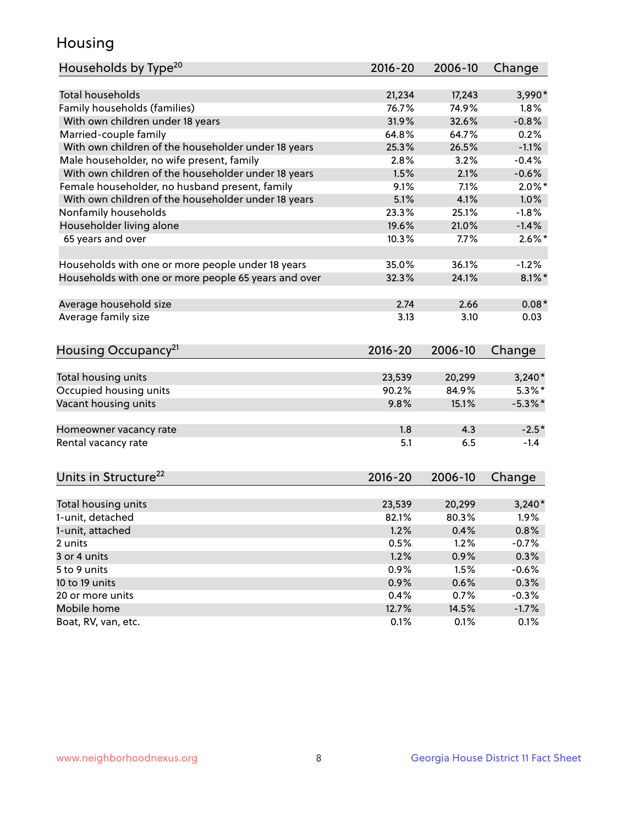## Housing

| Households by Type <sup>20</sup>                     | 2016-20     | 2006-10 | Change     |
|------------------------------------------------------|-------------|---------|------------|
|                                                      |             |         |            |
| <b>Total households</b>                              | 21,234      | 17,243  | 3,990*     |
| Family households (families)                         | 76.7%       | 74.9%   | 1.8%       |
| With own children under 18 years                     | 31.9%       | 32.6%   | $-0.8%$    |
| Married-couple family                                | 64.8%       | 64.7%   | 0.2%       |
| With own children of the householder under 18 years  | 25.3%       | 26.5%   | $-1.1%$    |
| Male householder, no wife present, family            | 2.8%        | 3.2%    | $-0.4%$    |
| With own children of the householder under 18 years  | 1.5%        | 2.1%    | $-0.6%$    |
| Female householder, no husband present, family       | 9.1%        | 7.1%    | $2.0\%$ *  |
| With own children of the householder under 18 years  | 5.1%        | 4.1%    | 1.0%       |
| Nonfamily households                                 | 23.3%       | 25.1%   | $-1.8%$    |
| Householder living alone                             | 19.6%       | 21.0%   | $-1.4%$    |
| 65 years and over                                    | 10.3%       | 7.7%    | $2.6\%$ *  |
|                                                      |             |         |            |
| Households with one or more people under 18 years    | 35.0%       | 36.1%   | $-1.2%$    |
| Households with one or more people 65 years and over | 32.3%       | 24.1%   | $8.1\%$ *  |
|                                                      |             |         |            |
| Average household size                               | 2.74        | 2.66    | $0.08*$    |
| Average family size                                  | 3.13        | 3.10    | 0.03       |
|                                                      |             |         |            |
|                                                      | $2016 - 20$ | 2006-10 |            |
| Housing Occupancy <sup>21</sup>                      |             |         | Change     |
| Total housing units                                  | 23,539      | 20,299  | $3,240*$   |
| Occupied housing units                               | 90.2%       | 84.9%   | $5.3\%$ *  |
| Vacant housing units                                 | 9.8%        | 15.1%   | $-5.3\%$ * |
|                                                      |             |         |            |
| Homeowner vacancy rate                               | 1.8         | 4.3     | $-2.5*$    |
| Rental vacancy rate                                  | 5.1         | 6.5     | $-1.4$     |
|                                                      |             |         |            |
| Units in Structure <sup>22</sup>                     | $2016 - 20$ | 2006-10 | Change     |
|                                                      |             |         |            |
| Total housing units                                  | 23,539      | 20,299  | $3,240*$   |
| 1-unit, detached                                     | 82.1%       | 80.3%   | 1.9%       |
| 1-unit, attached                                     | 1.2%        | 0.4%    | 0.8%       |
| 2 units                                              | 0.5%        | 1.2%    | $-0.7%$    |
| 3 or 4 units                                         | 1.2%        | 0.9%    | 0.3%       |
| 5 to 9 units                                         | 0.9%        | 1.5%    | $-0.6%$    |
| 10 to 19 units                                       | 0.9%        | 0.6%    | 0.3%       |
| 20 or more units                                     | 0.4%        | 0.7%    | $-0.3%$    |
| Mobile home                                          | 12.7%       | 14.5%   | $-1.7\%$   |
| Boat, RV, van, etc.                                  | 0.1%        | 0.1%    | 0.1%       |
|                                                      |             |         |            |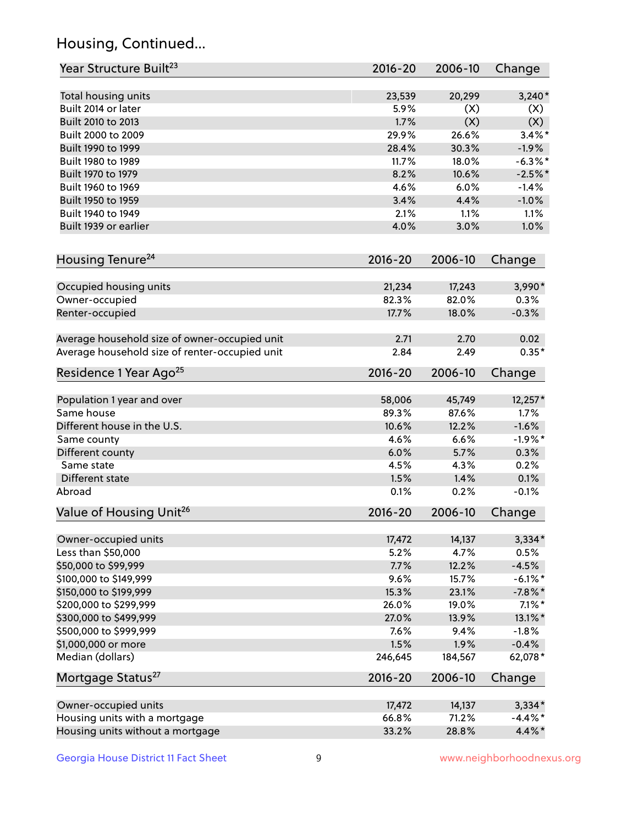## Housing, Continued...

| Year Structure Built <sup>23</sup>             | 2016-20     | 2006-10 | Change     |
|------------------------------------------------|-------------|---------|------------|
| Total housing units                            | 23,539      | 20,299  | $3,240*$   |
| Built 2014 or later                            | 5.9%        | (X)     | (X)        |
| Built 2010 to 2013                             | 1.7%        | (X)     | (X)        |
| Built 2000 to 2009                             | 29.9%       | 26.6%   | $3.4\%$ *  |
| Built 1990 to 1999                             | 28.4%       | 30.3%   | $-1.9%$    |
| Built 1980 to 1989                             | 11.7%       | 18.0%   | $-6.3\%$ * |
| Built 1970 to 1979                             | 8.2%        | 10.6%   | $-2.5%$ *  |
| Built 1960 to 1969                             | 4.6%        | 6.0%    | $-1.4%$    |
| Built 1950 to 1959                             | 3.4%        | 4.4%    | $-1.0%$    |
| Built 1940 to 1949                             | 2.1%        | 1.1%    | 1.1%       |
| Built 1939 or earlier                          | 4.0%        | 3.0%    | 1.0%       |
| Housing Tenure <sup>24</sup>                   | $2016 - 20$ | 2006-10 | Change     |
| Occupied housing units                         | 21,234      | 17,243  | 3,990*     |
| Owner-occupied                                 | 82.3%       | 82.0%   | 0.3%       |
| Renter-occupied                                | 17.7%       | 18.0%   | $-0.3%$    |
| Average household size of owner-occupied unit  | 2.71        | 2.70    | 0.02       |
| Average household size of renter-occupied unit | 2.84        | 2.49    | $0.35*$    |
| Residence 1 Year Ago <sup>25</sup>             | $2016 - 20$ | 2006-10 | Change     |
| Population 1 year and over                     | 58,006      | 45,749  | 12,257*    |
| Same house                                     | 89.3%       | 87.6%   | 1.7%       |
| Different house in the U.S.                    | 10.6%       | 12.2%   | $-1.6%$    |
| Same county                                    | 4.6%        | 6.6%    | $-1.9%$ *  |
| Different county                               | 6.0%        | 5.7%    | 0.3%       |
| Same state                                     | 4.5%        | 4.3%    | 0.2%       |
| Different state                                | 1.5%        | 1.4%    | 0.1%       |
| Abroad                                         | 0.1%        | 0.2%    | $-0.1%$    |
| Value of Housing Unit <sup>26</sup>            | $2016 - 20$ | 2006-10 | Change     |
| Owner-occupied units                           | 17,472      | 14,137  | $3,334*$   |
| Less than \$50,000                             | 5.2%        | 4.7%    | 0.5%       |
| \$50,000 to \$99,999                           | 7.7%        | 12.2%   | $-4.5%$    |
| \$100,000 to \$149,999                         | 9.6%        | 15.7%   | $-6.1\%$ * |
| \$150,000 to \$199,999                         | 15.3%       | 23.1%   | $-7.8\%$ * |
| \$200,000 to \$299,999                         | 26.0%       | 19.0%   | $7.1\%$ *  |
| \$300,000 to \$499,999                         | 27.0%       | 13.9%   | 13.1%*     |
| \$500,000 to \$999,999                         | 7.6%        | 9.4%    | $-1.8%$    |
| \$1,000,000 or more                            | 1.5%        | 1.9%    | $-0.4%$    |
| Median (dollars)                               | 246,645     | 184,567 | 62,078*    |
| Mortgage Status <sup>27</sup>                  | $2016 - 20$ | 2006-10 | Change     |
| Owner-occupied units                           | 17,472      | 14,137  | $3,334*$   |
| Housing units with a mortgage                  | 66.8%       | 71.2%   | $-4.4\%$ * |
| Housing units without a mortgage               | 33.2%       | 28.8%   | 4.4%*      |
|                                                |             |         |            |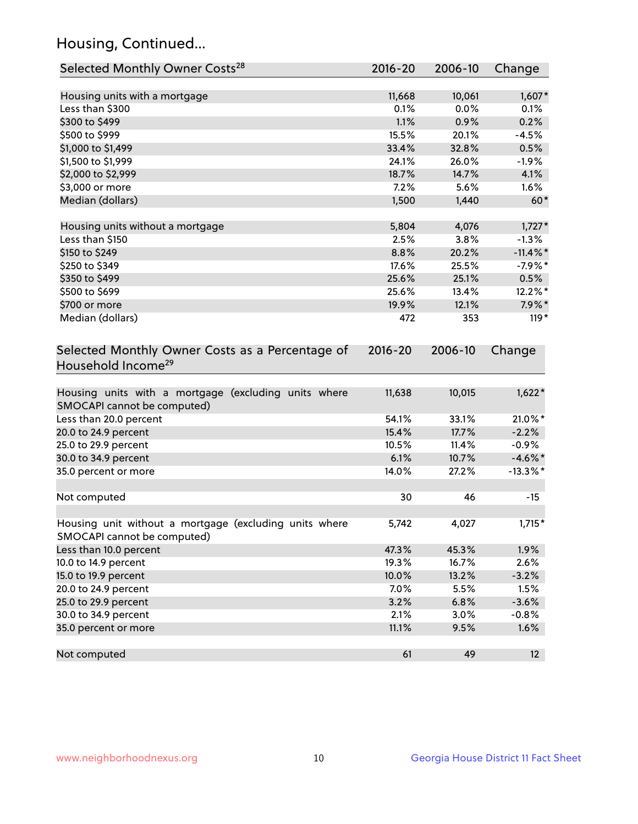## Housing, Continued...

| Selected Monthly Owner Costs <sup>28</sup>                                            | $2016 - 20$ | 2006-10 | Change      |
|---------------------------------------------------------------------------------------|-------------|---------|-------------|
| Housing units with a mortgage                                                         | 11,668      | 10,061  | $1,607*$    |
| Less than \$300                                                                       | 0.1%        | 0.0%    | 0.1%        |
| \$300 to \$499                                                                        | 1.1%        | 0.9%    | 0.2%        |
| \$500 to \$999                                                                        | 15.5%       | 20.1%   | $-4.5%$     |
| \$1,000 to \$1,499                                                                    | 33.4%       | 32.8%   | 0.5%        |
| \$1,500 to \$1,999                                                                    | 24.1%       | 26.0%   | $-1.9%$     |
| \$2,000 to \$2,999                                                                    | 18.7%       | 14.7%   | 4.1%        |
| \$3,000 or more                                                                       | 7.2%        | 5.6%    | 1.6%        |
| Median (dollars)                                                                      | 1,500       | 1,440   | $60*$       |
| Housing units without a mortgage                                                      | 5,804       | 4,076   | $1,727*$    |
| Less than \$150                                                                       | 2.5%        | 3.8%    | $-1.3%$     |
| \$150 to \$249                                                                        | 8.8%        | 20.2%   | $-11.4\%$ * |
| \$250 to \$349                                                                        | 17.6%       | 25.5%   | $-7.9%$ *   |
| \$350 to \$499                                                                        | 25.6%       | 25.1%   | 0.5%        |
| \$500 to \$699                                                                        | 25.6%       | 13.4%   | 12.2%*      |
| \$700 or more                                                                         | 19.9%       | 12.1%   | $7.9\%$ *   |
| Median (dollars)                                                                      | 472         | 353     | $119*$      |
| Selected Monthly Owner Costs as a Percentage of<br>Household Income <sup>29</sup>     | $2016 - 20$ | 2006-10 | Change      |
| Housing units with a mortgage (excluding units where<br>SMOCAPI cannot be computed)   | 11,638      | 10,015  | $1,622*$    |
| Less than 20.0 percent                                                                | 54.1%       | 33.1%   | 21.0%*      |
| 20.0 to 24.9 percent                                                                  | 15.4%       | 17.7%   | $-2.2%$     |
| 25.0 to 29.9 percent                                                                  | 10.5%       | 11.4%   | $-0.9%$     |
| 30.0 to 34.9 percent                                                                  | 6.1%        | 10.7%   | $-4.6\%$ *  |
| 35.0 percent or more                                                                  | 14.0%       | 27.2%   | $-13.3\%$ * |
| Not computed                                                                          | 30          | 46      | $-15$       |
| Housing unit without a mortgage (excluding units where<br>SMOCAPI cannot be computed) | 5,742       | 4,027   | $1,715*$    |
| Less than 10.0 percent                                                                | 47.3%       | 45.3%   | 1.9%        |
| 10.0 to 14.9 percent                                                                  | 19.3%       | 16.7%   | 2.6%        |
| 15.0 to 19.9 percent                                                                  | 10.0%       | 13.2%   | $-3.2%$     |
| 20.0 to 24.9 percent                                                                  | 7.0%        | 5.5%    | 1.5%        |
| 25.0 to 29.9 percent                                                                  | 3.2%        | 6.8%    | $-3.6%$     |
| 30.0 to 34.9 percent                                                                  | 2.1%        | 3.0%    | $-0.8%$     |
| 35.0 percent or more                                                                  | 11.1%       | 9.5%    | 1.6%        |
| Not computed                                                                          | 61          | 49      | 12          |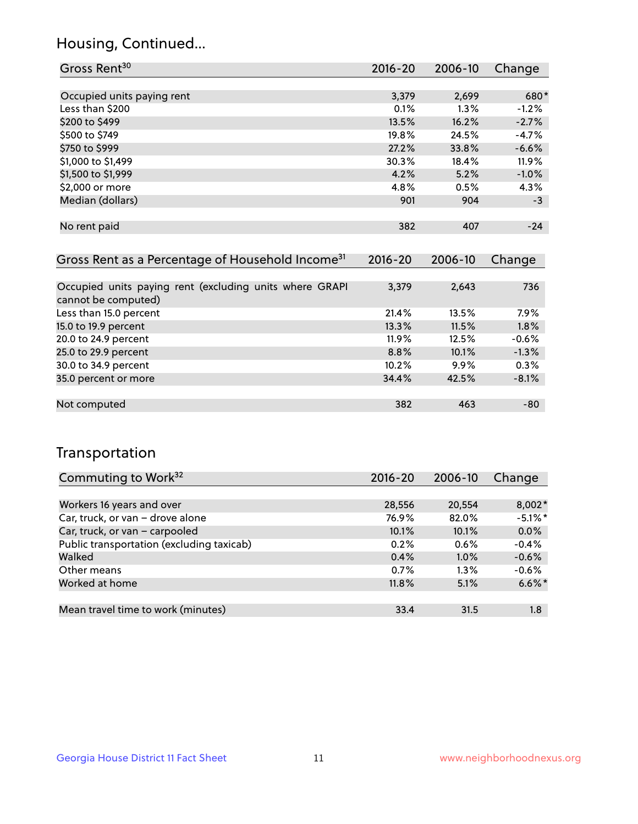## Housing, Continued...

| Gross Rent <sup>30</sup>                                     | 2016-20     | 2006-10 | Change  |
|--------------------------------------------------------------|-------------|---------|---------|
|                                                              |             |         |         |
| Occupied units paying rent                                   | 3,379       | 2,699   | 680*    |
| Less than \$200                                              | 0.1%        | $1.3\%$ | $-1.2%$ |
| \$200 to \$499                                               | 13.5%       | 16.2%   | $-2.7%$ |
| \$500 to \$749                                               | 19.8%       | 24.5%   | $-4.7%$ |
| \$750 to \$999                                               | 27.2%       | 33.8%   | $-6.6%$ |
| \$1,000 to \$1,499                                           | 30.3%       | 18.4%   | 11.9%   |
| \$1,500 to \$1,999                                           | 4.2%        | 5.2%    | $-1.0%$ |
| \$2,000 or more                                              | 4.8%        | 0.5%    | 4.3%    |
| Median (dollars)                                             | 901         | 904     | $-3$    |
|                                                              |             |         |         |
| No rent paid                                                 | 382         | 407     | $-24$   |
|                                                              |             |         |         |
| Gross Rent as a Percentage of Household Income <sup>31</sup> | $2016 - 20$ | 2006-10 | Change  |

| Occupied units paying rent (excluding units where GRAPI<br>cannot be computed) | 3,379    | 2,643 | 736     |
|--------------------------------------------------------------------------------|----------|-------|---------|
| Less than 15.0 percent                                                         | 21.4%    | 13.5% | $7.9\%$ |
| 15.0 to 19.9 percent                                                           | 13.3%    | 11.5% | 1.8%    |
| 20.0 to 24.9 percent                                                           | $11.9\%$ | 12.5% | $-0.6%$ |
| 25.0 to 29.9 percent                                                           | 8.8%     | 10.1% | $-1.3%$ |
| 30.0 to 34.9 percent                                                           | 10.2%    | 9.9%  | 0.3%    |
| 35.0 percent or more                                                           | 34.4%    | 42.5% | $-8.1%$ |
|                                                                                |          |       |         |
| Not computed                                                                   | 382      | 463   | -80     |

## Transportation

| Commuting to Work <sup>32</sup>           | 2016-20 | 2006-10 | Change     |
|-------------------------------------------|---------|---------|------------|
|                                           |         |         |            |
| Workers 16 years and over                 | 28,556  | 20,554  | $8,002*$   |
| Car, truck, or van - drove alone          | 76.9%   | 82.0%   | $-5.1\%$ * |
| Car, truck, or van - carpooled            | 10.1%   | 10.1%   | 0.0%       |
| Public transportation (excluding taxicab) | 0.2%    | 0.6%    | $-0.4%$    |
| Walked                                    | 0.4%    | 1.0%    | $-0.6%$    |
| Other means                               | 0.7%    | $1.3\%$ | $-0.6%$    |
| Worked at home                            | 11.8%   | 5.1%    | $6.6\%$ *  |
|                                           |         |         |            |
| Mean travel time to work (minutes)        | 33.4    | 31.5    | 1.8        |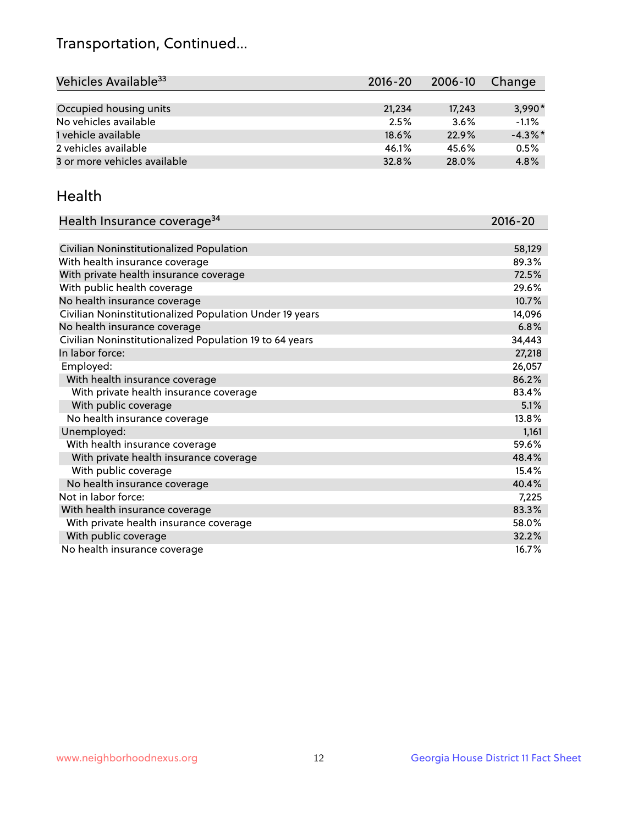## Transportation, Continued...

| Vehicles Available <sup>33</sup> | 2016-20 | 2006-10 | Change     |
|----------------------------------|---------|---------|------------|
|                                  |         |         |            |
| Occupied housing units           | 21,234  | 17.243  | $3.990*$   |
| No vehicles available            | 2.5%    | 3.6%    | $-1.1%$    |
| 1 vehicle available              | 18.6%   | 22.9%   | $-4.3\%$ * |
| 2 vehicles available             | 46.1%   | 45.6%   | 0.5%       |
| 3 or more vehicles available     | 32.8%   | 28.0%   | 4.8%       |

#### Health

| Health Insurance coverage <sup>34</sup>                 | 2016-20 |
|---------------------------------------------------------|---------|
|                                                         |         |
| Civilian Noninstitutionalized Population                | 58,129  |
| With health insurance coverage                          | 89.3%   |
| With private health insurance coverage                  | 72.5%   |
| With public health coverage                             | 29.6%   |
| No health insurance coverage                            | 10.7%   |
| Civilian Noninstitutionalized Population Under 19 years | 14,096  |
| No health insurance coverage                            | 6.8%    |
| Civilian Noninstitutionalized Population 19 to 64 years | 34,443  |
| In labor force:                                         | 27,218  |
| Employed:                                               | 26,057  |
| With health insurance coverage                          | 86.2%   |
| With private health insurance coverage                  | 83.4%   |
| With public coverage                                    | 5.1%    |
| No health insurance coverage                            | 13.8%   |
| Unemployed:                                             | 1,161   |
| With health insurance coverage                          | 59.6%   |
| With private health insurance coverage                  | 48.4%   |
| With public coverage                                    | 15.4%   |
| No health insurance coverage                            | 40.4%   |
| Not in labor force:                                     | 7,225   |
| With health insurance coverage                          | 83.3%   |
| With private health insurance coverage                  | 58.0%   |
| With public coverage                                    | 32.2%   |
| No health insurance coverage                            | 16.7%   |